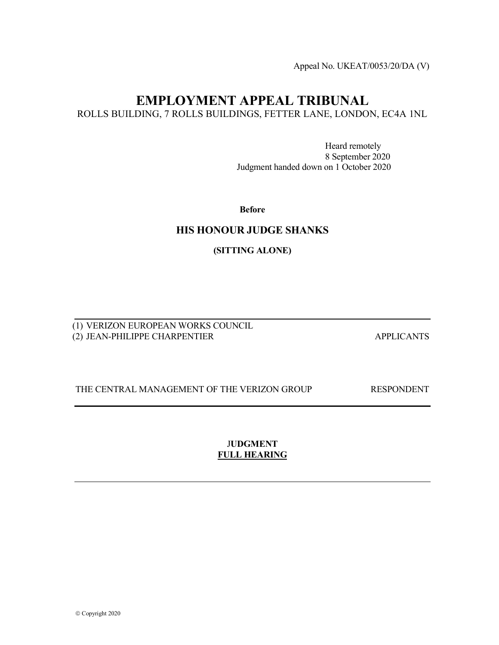Appeal No. UKEAT/0053/20/DA (V)

# EMPLOYMENT APPEAL TRIBUNAL

ROLLS BUILDING, 7 ROLLS BUILDINGS, FETTER LANE, LONDON, EC4A 1NL

 Heard remotely 8 September 2020 Judgment handed down on 1 October 2020

Before

# HIS HONOUR JUDGE SHANKS

(SITTING ALONE)

(1) VERIZON EUROPEAN WORKS COUNCIL (2) JEAN-PHILIPPE CHARPENTIER APPLICANTS

THE CENTRAL MANAGEMENT OF THE VERIZON GROUP RESPONDENT

# JUDGMENT FULL HEARING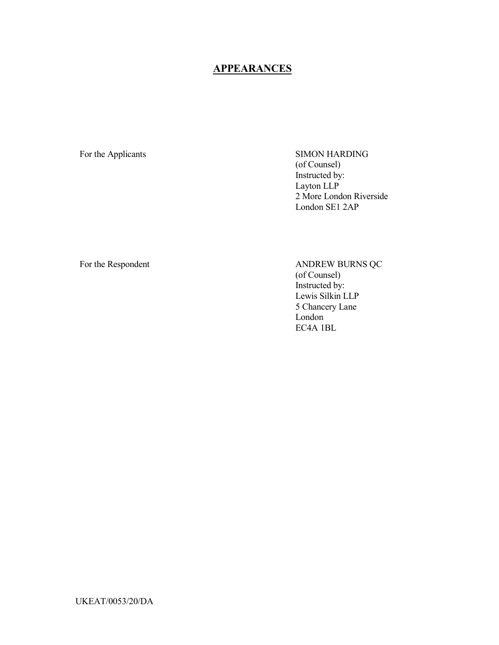# **APPEARANCES**

For the Applicants SIMON HARDING (of Counsel) Instructed by: Layton LLP 2 More London Riverside London SE1 2AP

For the Respondent ANDREW BURNS QC (of Counsel) Instructed by: Lewis Silkin LLP 5 Chancery Lane London EC4A 1BL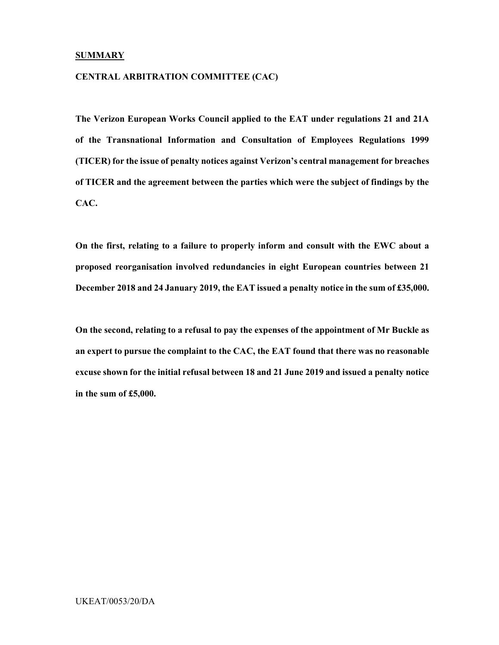#### **SUMMARY**

#### CENTRAL ARBITRATION COMMITTEE (CAC)

The Verizon European Works Council applied to the EAT under regulations 21 and 21A of the Transnational Information and Consultation of Employees Regulations 1999 (TICER) for the issue of penalty notices against Verizon's central management for breaches of TICER and the agreement between the parties which were the subject of findings by the CAC.

On the first, relating to a failure to properly inform and consult with the EWC about a proposed reorganisation involved redundancies in eight European countries between 21 December 2018 and 24 January 2019, the EAT issued a penalty notice in the sum of £35,000.

On the second, relating to a refusal to pay the expenses of the appointment of Mr Buckle as an expert to pursue the complaint to the CAC, the EAT found that there was no reasonable excuse shown for the initial refusal between 18 and 21 June 2019 and issued a penalty notice in the sum of £5,000.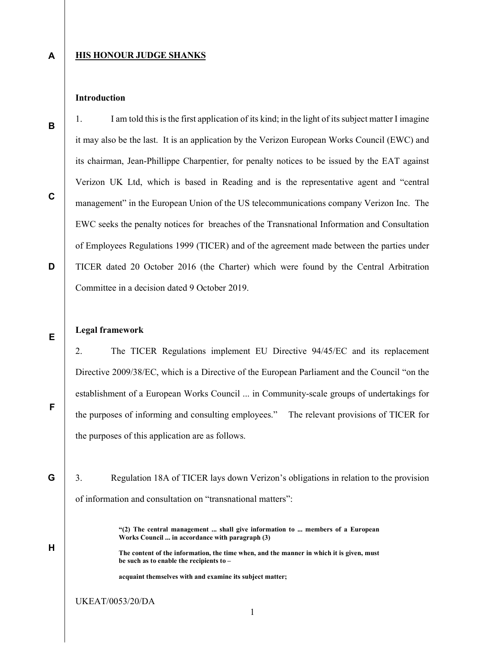A

B

C

D

#### **HIS HONOUR JUDGE SHANKS**

### Introduction

1. I am told this is the first application of its kind; in the light of its subject matter I imagine it may also be the last. It is an application by the Verizon European Works Council (EWC) and its chairman, Jean-Phillippe Charpentier, for penalty notices to be issued by the EAT against Verizon UK Ltd, which is based in Reading and is the representative agent and "central management" in the European Union of the US telecommunications company Verizon Inc. The EWC seeks the penalty notices for breaches of the Transnational Information and Consultation of Employees Regulations 1999 (TICER) and of the agreement made between the parties under TICER dated 20 October 2016 (the Charter) which were found by the Central Arbitration Committee in a decision dated 9 October 2019.

#### Legal framework

2. The TICER Regulations implement EU Directive 94/45/EC and its replacement Directive 2009/38/EC, which is a Directive of the European Parliament and the Council "on the establishment of a European Works Council ... in Community-scale groups of undertakings for the purposes of informing and consulting employees." The relevant provisions of TICER for the purposes of this application are as follows.

G 3. Regulation 18A of TICER lays down Verizon's obligations in relation to the provision of information and consultation on "transnational matters":

> "(2) The central management ... shall give information to ... members of a European Works Council ... in accordance with paragraph (3)

> The content of the information, the time when, and the manner in which it is given, must be such as to enable the recipients to –

acquaint themselves with and examine its subject matter;

UKEAT/0053/20/DA

F

H

E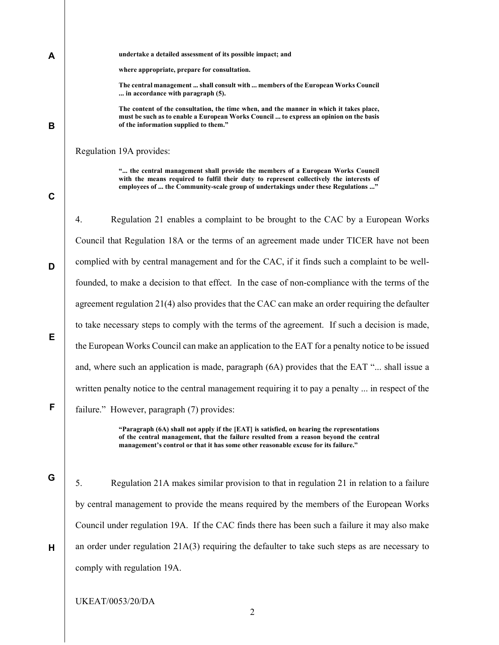B

A

where appropriate, prepare for consultation.

undertake a detailed assessment of its possible impact; and

The central management ... shall consult with ... members of the European Works Council ... in accordance with paragraph (5).

The content of the consultation, the time when, and the manner in which it takes place, must be such as to enable a European Works Council ... to express an opinion on the basis of the information supplied to them."

Regulation 19A provides:

"... the central management shall provide the members of a European Works Council with the means required to fulfil their duty to represent collectively the interests of employees of ... the Community-scale group of undertakings under these Regulations ..."

C

D

E

F

G

H

4. Regulation 21 enables a complaint to be brought to the CAC by a European Works Council that Regulation 18A or the terms of an agreement made under TICER have not been complied with by central management and for the CAC, if it finds such a complaint to be wellfounded, to make a decision to that effect. In the case of non-compliance with the terms of the agreement regulation 21(4) also provides that the CAC can make an order requiring the defaulter to take necessary steps to comply with the terms of the agreement. If such a decision is made, the European Works Council can make an application to the EAT for a penalty notice to be issued and, where such an application is made, paragraph (6A) provides that the EAT "... shall issue a written penalty notice to the central management requiring it to pay a penalty ... in respect of the failure." However, paragraph (7) provides:

> "Paragraph (6A) shall not apply if the [EAT] is satisfied, on hearing the representations of the central management, that the failure resulted from a reason beyond the central management's control or that it has some other reasonable excuse for its failure."

5. Regulation 21A makes similar provision to that in regulation 21 in relation to a failure by central management to provide the means required by the members of the European Works Council under regulation 19A. If the CAC finds there has been such a failure it may also make an order under regulation 21A(3) requiring the defaulter to take such steps as are necessary to comply with regulation 19A.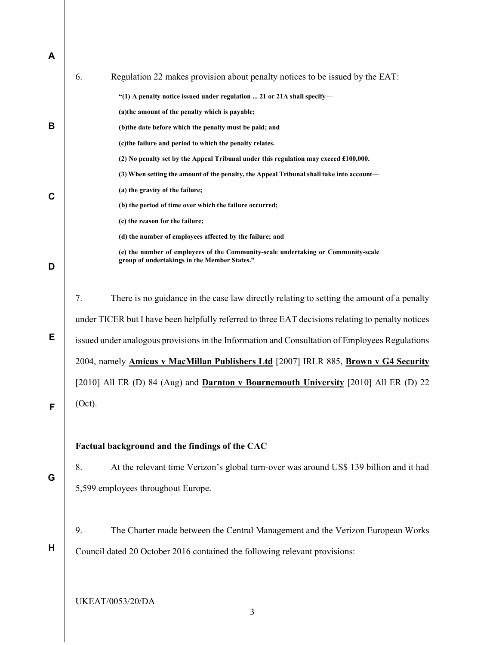| A |                                                                                                                                   |  |
|---|-----------------------------------------------------------------------------------------------------------------------------------|--|
|   | 6.<br>Regulation 22 makes provision about penalty notices to be issued by the EAT:                                                |  |
|   | "(1) A penalty notice issued under regulation  21 or 21A shall specify-                                                           |  |
|   | (a)the amount of the penalty which is payable;                                                                                    |  |
| В | (b)the date before which the penalty must be paid; and                                                                            |  |
|   | (c)the failure and period to which the penalty relates.                                                                           |  |
|   | (2) No penalty set by the Appeal Tribunal under this regulation may exceed £100,000.                                              |  |
|   | (3) When setting the amount of the penalty, the Appeal Tribunal shall take into account—                                          |  |
| C | (a) the gravity of the failure;                                                                                                   |  |
|   | (b) the period of time over which the failure occurred;                                                                           |  |
|   | (c) the reason for the failure;                                                                                                   |  |
|   | (d) the number of employees affected by the failure; and                                                                          |  |
| D | (e) the number of employees of the Community-scale undertaking or Community-scale<br>group of undertakings in the Member States." |  |
|   | 7.<br>There is no guidance in the case law directly relating to setting the amount of a penalty                                   |  |
|   | under TICER but I have been helpfully referred to three EAT decisions relating to penalty notices                                 |  |
| Е | issued under analogous provisions in the Information and Consultation of Employees Regulations                                    |  |
|   | 2004, namely <b>Amicus v MacMillan Publishers Ltd</b> [2007] IRLR 885, Brown v G4 Security                                        |  |
|   | [2010] All ER (D) 84 (Aug) and <b>Darnton v Bournemouth University</b> [2010] All ER (D) 22                                       |  |
| F | (Oct).                                                                                                                            |  |
|   | Factual background and the findings of the CAC                                                                                    |  |
|   | 8.<br>At the relevant time Verizon's global turn-over was around US\$ 139 billion and it had                                      |  |
| G | 5,599 employees throughout Europe.                                                                                                |  |
|   | 9.<br>The Charter made between the Central Management and the Verizon European Works                                              |  |
| H | Council dated 20 October 2016 contained the following relevant provisions:                                                        |  |
|   |                                                                                                                                   |  |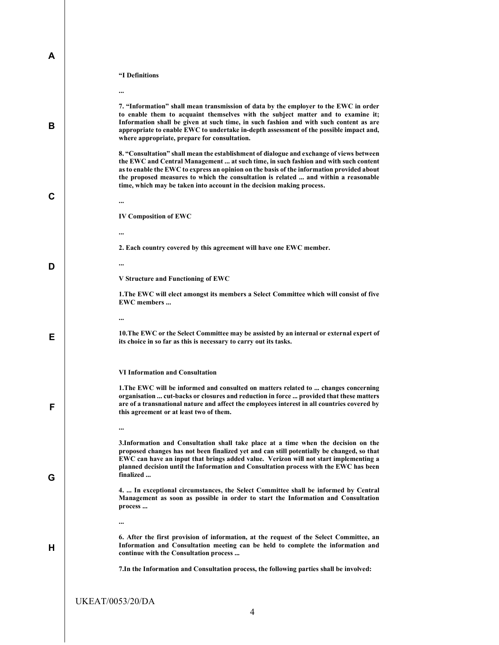|  | "I Definitions |
|--|----------------|
|--|----------------|

A

|   | $\cdots$                                                                                                                                                                                                                                                                                                                                                                                                                                         |
|---|--------------------------------------------------------------------------------------------------------------------------------------------------------------------------------------------------------------------------------------------------------------------------------------------------------------------------------------------------------------------------------------------------------------------------------------------------|
| В | 7. "Information" shall mean transmission of data by the employer to the EWC in order<br>to enable them to acquaint themselves with the subject matter and to examine it;<br>Information shall be given at such time, in such fashion and with such content as are<br>appropriate to enable EWC to undertake in-depth assessment of the possible impact and,<br>where appropriate, prepare for consultation.                                      |
| C | 8. "Consultation" shall mean the establishment of dialogue and exchange of views between<br>the EWC and Central Management  at such time, in such fashion and with such content<br>as to enable the EWC to express an opinion on the basis of the information provided about<br>the proposed measures to which the consultation is related  and within a reasonable<br>time, which may be taken into account in the decision making process.<br> |
|   | <b>IV Composition of EWC</b>                                                                                                                                                                                                                                                                                                                                                                                                                     |
|   |                                                                                                                                                                                                                                                                                                                                                                                                                                                  |
|   | 2. Each country covered by this agreement will have one EWC member.                                                                                                                                                                                                                                                                                                                                                                              |
|   | $\cdots$                                                                                                                                                                                                                                                                                                                                                                                                                                         |
| D | V Structure and Functioning of EWC                                                                                                                                                                                                                                                                                                                                                                                                               |
|   | 1. The EWC will elect amongst its members a Select Committee which will consist of five                                                                                                                                                                                                                                                                                                                                                          |
|   | <b>EWC</b> members                                                                                                                                                                                                                                                                                                                                                                                                                               |
|   |                                                                                                                                                                                                                                                                                                                                                                                                                                                  |
| Е | 10. The EWC or the Select Committee may be assisted by an internal or external expert of<br>its choice in so far as this is necessary to carry out its tasks.                                                                                                                                                                                                                                                                                    |
|   | <b>VI Information and Consultation</b>                                                                                                                                                                                                                                                                                                                                                                                                           |
| F | 1. The EWC will be informed and consulted on matters related to  changes concerning<br>organisation  cut-backs or closures and reduction in force  provided that these matters<br>are of a transnational nature and affect the employees interest in all countries covered by<br>this agreement or at least two of them.                                                                                                                         |
|   |                                                                                                                                                                                                                                                                                                                                                                                                                                                  |
| G | 3. Information and Consultation shall take place at a time when the decision on the<br>proposed changes has not been finalized yet and can still potentially be changed, so that<br>EWC can have an input that brings added value. Verizon will not start implementing a<br>planned decision until the Information and Consultation process with the EWC has been<br>finalized                                                                   |
|   | 4.  In exceptional circumstances, the Select Committee shall be informed by Central<br>Management as soon as possible in order to start the Information and Consultation<br>process                                                                                                                                                                                                                                                              |
|   |                                                                                                                                                                                                                                                                                                                                                                                                                                                  |
|   |                                                                                                                                                                                                                                                                                                                                                                                                                                                  |
| н | 6. After the first provision of information, at the request of the Select Committee, an<br>Information and Consultation meeting can be held to complete the information and<br>continue with the Consultation process                                                                                                                                                                                                                            |
|   | 7. In the Information and Consultation process, the following parties shall be involved:                                                                                                                                                                                                                                                                                                                                                         |
|   |                                                                                                                                                                                                                                                                                                                                                                                                                                                  |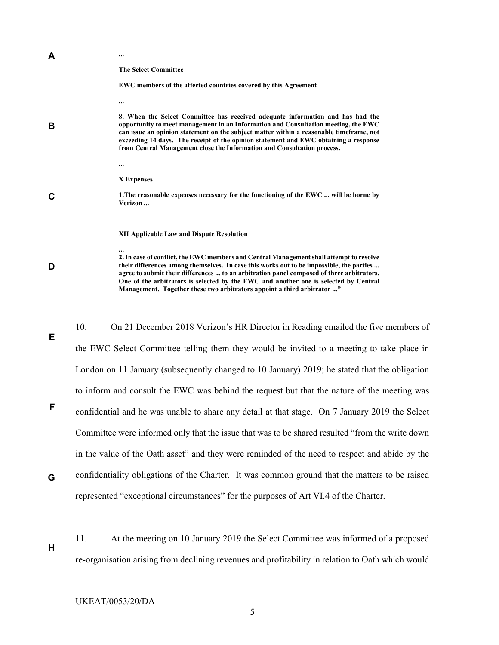| A           |                                                                                                                                                                                                                                                                                                                                                                                                                                                     |
|-------------|-----------------------------------------------------------------------------------------------------------------------------------------------------------------------------------------------------------------------------------------------------------------------------------------------------------------------------------------------------------------------------------------------------------------------------------------------------|
|             | <b>The Select Committee</b><br>EWC members of the affected countries covered by this Agreement                                                                                                                                                                                                                                                                                                                                                      |
|             |                                                                                                                                                                                                                                                                                                                                                                                                                                                     |
| В           | 8. When the Select Committee has received adequate information and has had the<br>opportunity to meet management in an Information and Consultation meeting, the EWC<br>can issue an opinion statement on the subject matter within a reasonable timeframe, not<br>exceeding 14 days. The receipt of the opinion statement and EWC obtaining a response<br>from Central Management close the Information and Consultation process.                  |
|             |                                                                                                                                                                                                                                                                                                                                                                                                                                                     |
|             | X Expenses                                                                                                                                                                                                                                                                                                                                                                                                                                          |
| $\mathbf c$ | 1. The reasonable expenses necessary for the functioning of the EWC  will be borne by<br>Verizon                                                                                                                                                                                                                                                                                                                                                    |
|             |                                                                                                                                                                                                                                                                                                                                                                                                                                                     |
|             | <b>XII Applicable Law and Dispute Resolution</b>                                                                                                                                                                                                                                                                                                                                                                                                    |
| D           | 2. In case of conflict, the EWC members and Central Management shall attempt to resolve<br>their differences among themselves. In case this works out to be impossible, the parties<br>agree to submit their differences  to an arbitration panel composed of three arbitrators.<br>One of the arbitrators is selected by the EWC and another one is selected by Central<br>Management. Together these two arbitrators appoint a third arbitrator " |
|             |                                                                                                                                                                                                                                                                                                                                                                                                                                                     |
| Е           | 10.<br>On 21 December 2018 Verizon's HR Director in Reading emailed the five members of                                                                                                                                                                                                                                                                                                                                                             |
|             | the EWC Select Committee telling them they would be invited to a meeting to take place in                                                                                                                                                                                                                                                                                                                                                           |
|             | London on 11 January (subsequently changed to 10 January) 2019; he stated that the obligation                                                                                                                                                                                                                                                                                                                                                       |
|             | to inform and consult the EWC was behind the request but that the nature of the meeting was                                                                                                                                                                                                                                                                                                                                                         |
| F           | confidential and he was unable to share any detail at that stage. On 7 January 2019 the Select                                                                                                                                                                                                                                                                                                                                                      |
|             | Committee were informed only that the issue that was to be shared resulted "from the write down"                                                                                                                                                                                                                                                                                                                                                    |
|             | in the value of the Oath asset" and they were reminded of the need to respect and abide by the                                                                                                                                                                                                                                                                                                                                                      |
| G           | confidentiality obligations of the Charter. It was common ground that the matters to be raised                                                                                                                                                                                                                                                                                                                                                      |
|             | represented "exceptional circumstances" for the purposes of Art VI.4 of the Charter.                                                                                                                                                                                                                                                                                                                                                                |
|             |                                                                                                                                                                                                                                                                                                                                                                                                                                                     |
| Н           | 11.<br>At the meeting on 10 January 2019 the Select Committee was informed of a proposed                                                                                                                                                                                                                                                                                                                                                            |
|             | re-organisation arising from declining revenues and profitability in relation to Oath which would                                                                                                                                                                                                                                                                                                                                                   |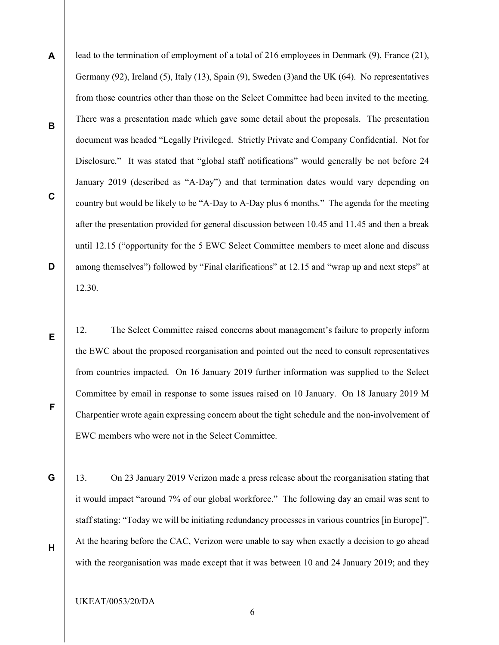A B C D lead to the termination of employment of a total of 216 employees in Denmark (9), France (21), Germany (92), Ireland (5), Italy (13), Spain (9), Sweden (3)and the UK (64). No representatives from those countries other than those on the Select Committee had been invited to the meeting. There was a presentation made which gave some detail about the proposals. The presentation document was headed "Legally Privileged. Strictly Private and Company Confidential. Not for Disclosure." It was stated that "global staff notifications" would generally be not before 24 January 2019 (described as "A-Day") and that termination dates would vary depending on country but would be likely to be "A-Day to A-Day plus 6 months." The agenda for the meeting after the presentation provided for general discussion between 10.45 and 11.45 and then a break until 12.15 ("opportunity for the 5 EWC Select Committee members to meet alone and discuss among themselves") followed by "Final clarifications" at 12.15 and "wrap up and next steps" at 12.30.

12. The Select Committee raised concerns about management's failure to properly inform the EWC about the proposed reorganisation and pointed out the need to consult representatives from countries impacted. On 16 January 2019 further information was supplied to the Select Committee by email in response to some issues raised on 10 January. On 18 January 2019 M Charpentier wrote again expressing concern about the tight schedule and the non-involvement of EWC members who were not in the Select Committee.

13. On 23 January 2019 Verizon made a press release about the reorganisation stating that it would impact "around 7% of our global workforce." The following day an email was sent to staff stating: "Today we will be initiating redundancy processes in various countries [in Europe]". At the hearing before the CAC, Verizon were unable to say when exactly a decision to go ahead with the reorganisation was made except that it was between 10 and 24 January 2019; and they

6

UKEAT/0053/20/DA

E

F

G

H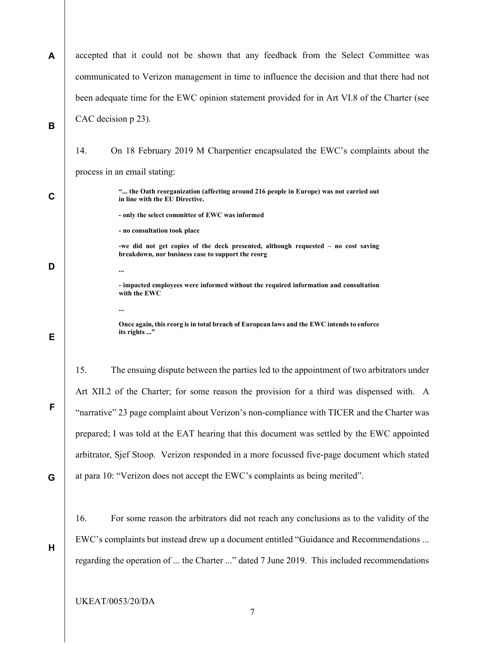| A           | accepted that it could not be shown that any feedback from the Select Committee was                                                    |
|-------------|----------------------------------------------------------------------------------------------------------------------------------------|
|             | communicated to Verizon management in time to influence the decision and that there had not                                            |
|             | been adequate time for the EWC opinion statement provided for in Art VI.8 of the Charter (see                                          |
| B           | CAC decision p 23).                                                                                                                    |
|             | 14.<br>On 18 February 2019 M Charpentier encapsulated the EWC's complaints about the                                                   |
|             | process in an email stating:                                                                                                           |
| $\mathbf c$ | " the Oath reorganization (affecting around 216 people in Europe) was not carried out<br>in line with the EU Directive.                |
|             | - only the select committee of EWC was informed                                                                                        |
|             | - no consultation took place                                                                                                           |
|             | -we did not get copies of the deck presented, although requested - no cost saving<br>breakdown, nor business case to support the reorg |
| D           |                                                                                                                                        |
|             | - impacted employees were informed without the required information and consultation<br>with the EWC                                   |
|             |                                                                                                                                        |
| Е           | Once again, this reorg is in total breach of European laws and the EWC intends to enforce<br>its rights "                              |
|             | 15.<br>The ensuing dispute between the parties led to the appointment of two arbitrators under                                         |
|             | Art XII.2 of the Charter; for some reason the provision for a third was dispensed with. A                                              |
| F           | "narrative" 23 page complaint about Verizon's non-compliance with TICER and the Charter was                                            |
|             | prepared; I was told at the EAT hearing that this document was settled by the EWC appointed                                            |
|             | arbitrator, Sjef Stoop. Verizon responded in a more focussed five-page document which stated                                           |
| G           | at para 10: "Verizon does not accept the EWC's complaints as being merited".                                                           |
|             | 16.<br>For some reason the arbitrators did not reach any conclusions as to the validity of the                                         |
| Н           | EWC's complaints but instead drew up a document entitled "Guidance and Recommendations                                                 |

regarding the operation of ... the Charter ..." dated 7 June 2019. This included recommendations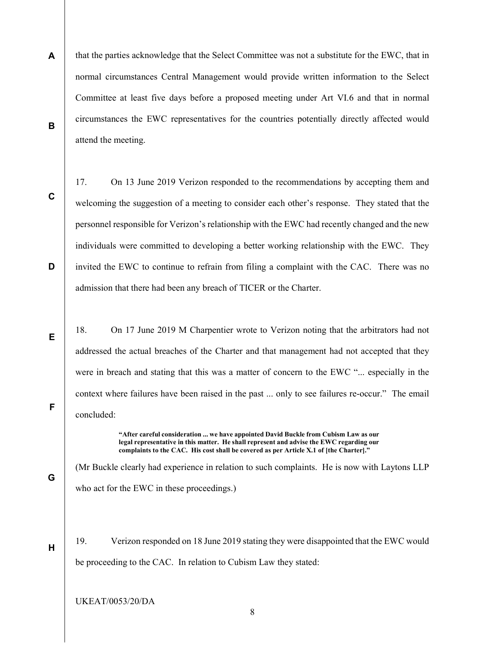- A B that the parties acknowledge that the Select Committee was not a substitute for the EWC, that in normal circumstances Central Management would provide written information to the Select Committee at least five days before a proposed meeting under Art VI.6 and that in normal circumstances the EWC representatives for the countries potentially directly affected would attend the meeting.
- C

D

17. On 13 June 2019 Verizon responded to the recommendations by accepting them and welcoming the suggestion of a meeting to consider each other's response. They stated that the personnel responsible for Verizon's relationship with the EWC had recently changed and the new individuals were committed to developing a better working relationship with the EWC. They invited the EWC to continue to refrain from filing a complaint with the CAC. There was no admission that there had been any breach of TICER or the Charter.

18. On 17 June 2019 M Charpentier wrote to Verizon noting that the arbitrators had not addressed the actual breaches of the Charter and that management had not accepted that they were in breach and stating that this was a matter of concern to the EWC "... especially in the context where failures have been raised in the past ... only to see failures re-occur." The email concluded:

> "After careful consideration ... we have appointed David Buckle from Cubism Law as our legal representative in this matter. He shall represent and advise the EWC regarding our complaints to the CAC. His cost shall be covered as per Article X.1 of [the Charter]."

(Mr Buckle clearly had experience in relation to such complaints. He is now with Laytons LLP who act for the EWC in these proceedings.)

19. Verizon responded on 18 June 2019 stating they were disappointed that the EWC would be proceeding to the CAC. In relation to Cubism Law they stated:

UKEAT/0053/20/DA

F

G

H

E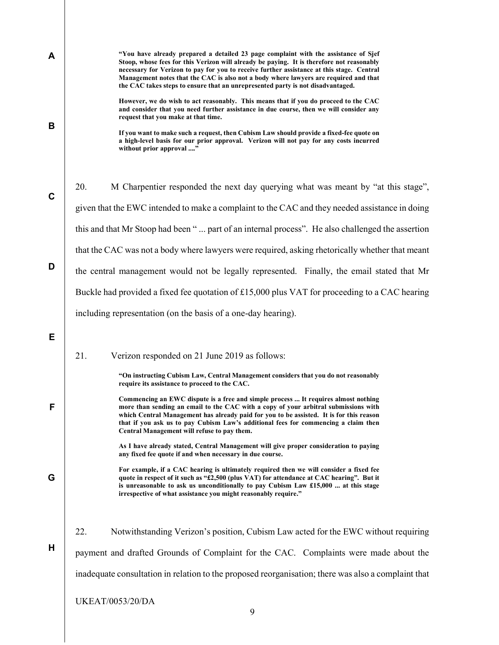| A           | "You have already prepared a detailed 23 page complaint with the assistance of Sjef<br>Stoop, whose fees for this Verizon will already be paying. It is therefore not reasonably<br>necessary for Verizon to pay for you to receive further assistance at this stage. Central<br>Management notes that the CAC is also not a body where lawyers are required and that<br>the CAC takes steps to ensure that an unrepresented party is not disadvantaged. |
|-------------|----------------------------------------------------------------------------------------------------------------------------------------------------------------------------------------------------------------------------------------------------------------------------------------------------------------------------------------------------------------------------------------------------------------------------------------------------------|
| B           | However, we do wish to act reasonably. This means that if you do proceed to the CAC<br>and consider that you need further assistance in due course, then we will consider any<br>request that you make at that time.<br>If you want to make such a request, then Cubism Law should provide a fixed-fee quote on<br>a high-level basis for our prior approval. Verizon will not pay for any costs incurred<br>without prior approval "                    |
| $\mathbf C$ | 20.<br>M Charpentier responded the next day querying what was meant by "at this stage",                                                                                                                                                                                                                                                                                                                                                                  |
|             | given that the EWC intended to make a complaint to the CAC and they needed assistance in doing                                                                                                                                                                                                                                                                                                                                                           |
|             | this and that Mr Stoop had been " part of an internal process". He also challenged the assertion                                                                                                                                                                                                                                                                                                                                                         |
|             | that the CAC was not a body where lawyers were required, asking rhetorically whether that meant                                                                                                                                                                                                                                                                                                                                                          |
| D           | the central management would not be legally represented. Finally, the email stated that Mr                                                                                                                                                                                                                                                                                                                                                               |
|             | Buckle had provided a fixed fee quotation of £15,000 plus VAT for proceeding to a CAC hearing                                                                                                                                                                                                                                                                                                                                                            |
|             | including representation (on the basis of a one-day hearing).                                                                                                                                                                                                                                                                                                                                                                                            |
| Е           |                                                                                                                                                                                                                                                                                                                                                                                                                                                          |
|             | 21.<br>Verizon responded on 21 June 2019 as follows:                                                                                                                                                                                                                                                                                                                                                                                                     |
|             | "On instructing Cubism Law, Central Management considers that you do not reasonably<br>require its assistance to proceed to the CAC.                                                                                                                                                                                                                                                                                                                     |
| F           | Commencing an EWC dispute is a free and simple process  It requires almost nothing<br>more than sending an email to the CAC with a copy of your arbitral submissions with<br>which Central Management has already paid for you to be assisted. It is for this reason<br>that if you ask us to pay Cubism Law's additional fees for commencing a claim then<br>Central Management will refuse to pay them.                                                |
|             | As I have already stated, Central Management will give proper consideration to paying<br>any fixed fee quote if and when necessary in due course.                                                                                                                                                                                                                                                                                                        |
| G           | For example, if a CAC hearing is ultimately required then we will consider a fixed fee<br>quote in respect of it such as "£2,500 (plus VAT) for attendance at CAC hearing". But it<br>is unreasonable to ask us unconditionally to pay Cubism Law £15,000  at this stage<br>irrespective of what assistance you might reasonably require."                                                                                                               |
|             | 22.<br>Notwithstanding Verizon's position, Cubism Law acted for the EWC without requiring                                                                                                                                                                                                                                                                                                                                                                |
| H           | payment and drafted Grounds of Complaint for the CAC. Complaints were made about the                                                                                                                                                                                                                                                                                                                                                                     |
|             | inadequate consultation in relation to the proposed reorganisation; there was also a complaint that                                                                                                                                                                                                                                                                                                                                                      |
|             | <b>UKEAT/0053/20/DA</b>                                                                                                                                                                                                                                                                                                                                                                                                                                  |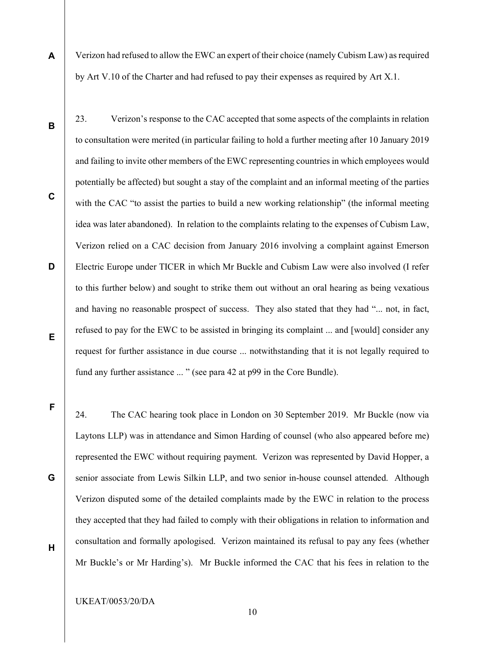- A Verizon had refused to allow the EWC an expert of their choice (namely Cubism Law) as required by Art V.10 of the Charter and had refused to pay their expenses as required by Art X.1.
- B C D E 23. Verizon's response to the CAC accepted that some aspects of the complaints in relation to consultation were merited (in particular failing to hold a further meeting after 10 January 2019 and failing to invite other members of the EWC representing countries in which employees would potentially be affected) but sought a stay of the complaint and an informal meeting of the parties with the CAC "to assist the parties to build a new working relationship" (the informal meeting idea was later abandoned). In relation to the complaints relating to the expenses of Cubism Law, Verizon relied on a CAC decision from January 2016 involving a complaint against Emerson Electric Europe under TICER in which Mr Buckle and Cubism Law were also involved (I refer to this further below) and sought to strike them out without an oral hearing as being vexatious and having no reasonable prospect of success. They also stated that they had "... not, in fact, refused to pay for the EWC to be assisted in bringing its complaint ... and [would] consider any request for further assistance in due course ... notwithstanding that it is not legally required to fund any further assistance ... " (see para 42 at p99 in the Core Bundle).

F

24. The CAC hearing took place in London on 30 September 2019. Mr Buckle (now via Laytons LLP) was in attendance and Simon Harding of counsel (who also appeared before me) represented the EWC without requiring payment. Verizon was represented by David Hopper, a senior associate from Lewis Silkin LLP, and two senior in-house counsel attended. Although Verizon disputed some of the detailed complaints made by the EWC in relation to the process they accepted that they had failed to comply with their obligations in relation to information and consultation and formally apologised. Verizon maintained its refusal to pay any fees (whether Mr Buckle's or Mr Harding's). Mr Buckle informed the CAC that his fees in relation to the

H

G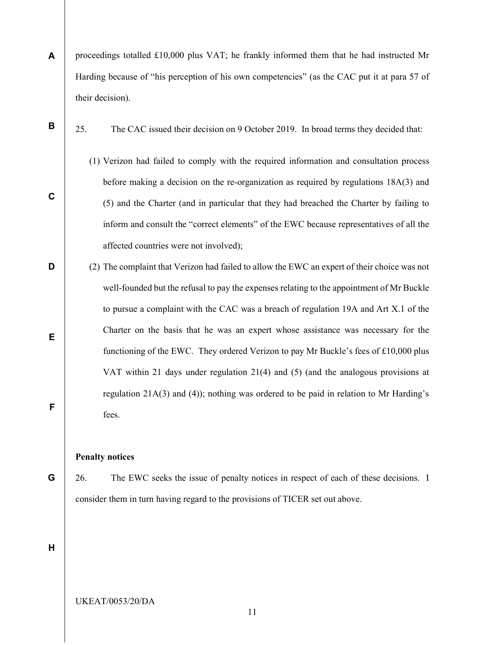- A proceedings totalled £10,000 plus VAT; he frankly informed them that he had instructed Mr Harding because of "his perception of his own competencies" (as the CAC put it at para 57 of their decision).
- B

C

25. The CAC issued their decision on 9 October 2019. In broad terms they decided that:

- (1) Verizon had failed to comply with the required information and consultation process before making a decision on the re-organization as required by regulations 18A(3) and (5) and the Charter (and in particular that they had breached the Charter by failing to inform and consult the "correct elements" of the EWC because representatives of all the affected countries were not involved);
- D E F (2) The complaint that Verizon had failed to allow the EWC an expert of their choice was not well-founded but the refusal to pay the expenses relating to the appointment of Mr Buckle to pursue a complaint with the CAC was a breach of regulation 19A and Art X.1 of the Charter on the basis that he was an expert whose assistance was necessary for the functioning of the EWC. They ordered Verizon to pay Mr Buckle's fees of £10,000 plus VAT within 21 days under regulation 21(4) and (5) (and the analogous provisions at regulation 21A(3) and (4)); nothing was ordered to be paid in relation to Mr Harding's fees.

#### Penalty notices

G

26. The EWC seeks the issue of penalty notices in respect of each of these decisions. I consider them in turn having regard to the provisions of TICER set out above.

H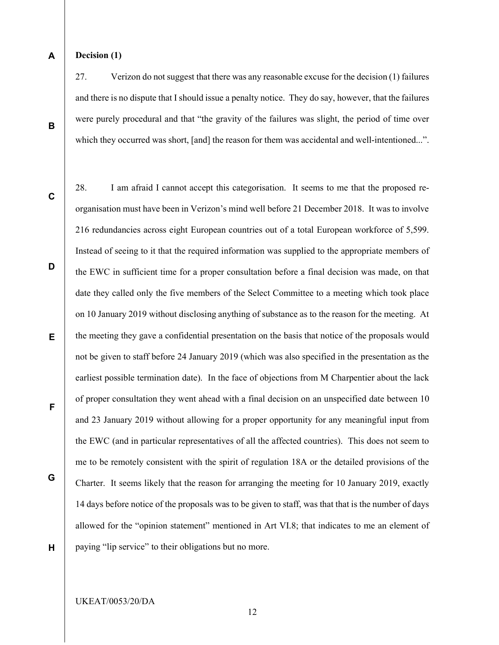#### A Decision (1)

27. Verizon do not suggest that there was any reasonable excuse for the decision (1) failures and there is no dispute that I should issue a penalty notice. They do say, however, that the failures were purely procedural and that "the gravity of the failures was slight, the period of time over which they occurred was short, [and] the reason for them was accidental and well-intentioned...".

28. I am afraid I cannot accept this categorisation. It seems to me that the proposed re-

C

B

D E F G H organisation must have been in Verizon's mind well before 21 December 2018. It was to involve 216 redundancies across eight European countries out of a total European workforce of 5,599. Instead of seeing to it that the required information was supplied to the appropriate members of the EWC in sufficient time for a proper consultation before a final decision was made, on that date they called only the five members of the Select Committee to a meeting which took place on 10 January 2019 without disclosing anything of substance as to the reason for the meeting. At the meeting they gave a confidential presentation on the basis that notice of the proposals would not be given to staff before 24 January 2019 (which was also specified in the presentation as the earliest possible termination date). In the face of objections from M Charpentier about the lack of proper consultation they went ahead with a final decision on an unspecified date between 10 and 23 January 2019 without allowing for a proper opportunity for any meaningful input from the EWC (and in particular representatives of all the affected countries). This does not seem to me to be remotely consistent with the spirit of regulation 18A or the detailed provisions of the Charter. It seems likely that the reason for arranging the meeting for 10 January 2019, exactly 14 days before notice of the proposals was to be given to staff, was that that is the number of days allowed for the "opinion statement" mentioned in Art VI.8; that indicates to me an element of paying "lip service" to their obligations but no more.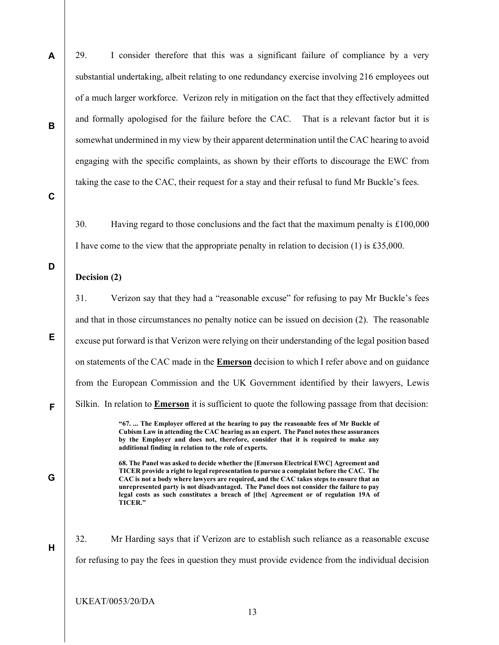A B 29. I consider therefore that this was a significant failure of compliance by a very substantial undertaking, albeit relating to one redundancy exercise involving 216 employees out of a much larger workforce. Verizon rely in mitigation on the fact that they effectively admitted and formally apologised for the failure before the CAC. That is a relevant factor but it is somewhat undermined in my view by their apparent determination until the CAC hearing to avoid engaging with the specific complaints, as shown by their efforts to discourage the EWC from taking the case to the CAC, their request for a stay and their refusal to fund Mr Buckle's fees.

C

D

E

F

G

H

30. Having regard to those conclusions and the fact that the maximum penalty is £100,000 I have come to the view that the appropriate penalty in relation to decision (1) is £35,000.

### Decision (2)

31. Verizon say that they had a "reasonable excuse" for refusing to pay Mr Buckle's fees and that in those circumstances no penalty notice can be issued on decision (2). The reasonable excuse put forward is that Verizon were relying on their understanding of the legal position based on statements of the CAC made in the **Emerson** decision to which I refer above and on guidance from the European Commission and the UK Government identified by their lawyers, Lewis Silkin. In relation to Emerson it is sufficient to quote the following passage from that decision:

> "67. ... The Employer offered at the hearing to pay the reasonable fees of Mr Buckle of Cubism Law in attending the CAC hearing as an expert. The Panel notes these assurances by the Employer and does not, therefore, consider that it is required to make any additional finding in relation to the role of experts.

> 68. The Panel was asked to decide whether the [Emerson Electrical EWC] Agreement and TICER provide a right to legal representation to pursue a complaint before the CAC. The CAC is not a body where lawyers are required, and the CAC takes steps to ensure that an unrepresented party is not disadvantaged. The Panel does not consider the failure to pay legal costs as such constitutes a breach of [the] Agreement or of regulation 19A of TICER."

32. Mr Harding says that if Verizon are to establish such reliance as a reasonable excuse for refusing to pay the fees in question they must provide evidence from the individual decision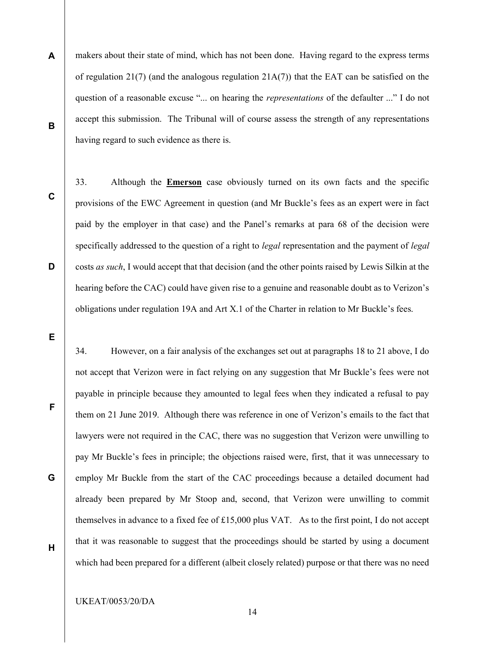- A B makers about their state of mind, which has not been done. Having regard to the express terms of regulation 21(7) (and the analogous regulation 21A(7)) that the EAT can be satisfied on the question of a reasonable excuse "... on hearing the *representations* of the defaulter ..." I do not accept this submission. The Tribunal will of course assess the strength of any representations having regard to such evidence as there is.
- C

D

33. Although the **Emerson** case obviously turned on its own facts and the specific provisions of the EWC Agreement in question (and Mr Buckle's fees as an expert were in fact paid by the employer in that case) and the Panel's remarks at para 68 of the decision were specifically addressed to the question of a right to *legal* representation and the payment of *legal* costs as such, I would accept that that decision (and the other points raised by Lewis Silkin at the hearing before the CAC) could have given rise to a genuine and reasonable doubt as to Verizon's obligations under regulation 19A and Art X.1 of the Charter in relation to Mr Buckle's fees.

E

F

G

34. However, on a fair analysis of the exchanges set out at paragraphs 18 to 21 above, I do not accept that Verizon were in fact relying on any suggestion that Mr Buckle's fees were not payable in principle because they amounted to legal fees when they indicated a refusal to pay them on 21 June 2019. Although there was reference in one of Verizon's emails to the fact that lawyers were not required in the CAC, there was no suggestion that Verizon were unwilling to pay Mr Buckle's fees in principle; the objections raised were, first, that it was unnecessary to employ Mr Buckle from the start of the CAC proceedings because a detailed document had already been prepared by Mr Stoop and, second, that Verizon were unwilling to commit themselves in advance to a fixed fee of £15,000 plus VAT. As to the first point, I do not accept that it was reasonable to suggest that the proceedings should be started by using a document which had been prepared for a different (albeit closely related) purpose or that there was no need

H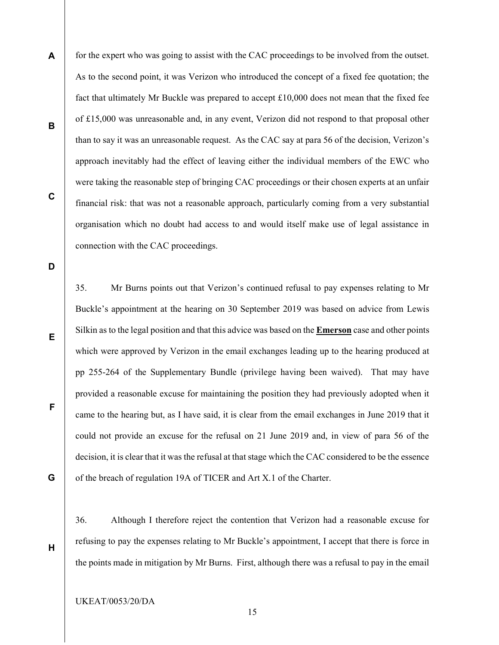A B C for the expert who was going to assist with the CAC proceedings to be involved from the outset. As to the second point, it was Verizon who introduced the concept of a fixed fee quotation; the fact that ultimately Mr Buckle was prepared to accept £10,000 does not mean that the fixed fee of £15,000 was unreasonable and, in any event, Verizon did not respond to that proposal other than to say it was an unreasonable request. As the CAC say at para 56 of the decision, Verizon's approach inevitably had the effect of leaving either the individual members of the EWC who were taking the reasonable step of bringing CAC proceedings or their chosen experts at an unfair financial risk: that was not a reasonable approach, particularly coming from a very substantial organisation which no doubt had access to and would itself make use of legal assistance in connection with the CAC proceedings.

D

E

F

G

H

35. Mr Burns points out that Verizon's continued refusal to pay expenses relating to Mr Buckle's appointment at the hearing on 30 September 2019 was based on advice from Lewis Silkin as to the legal position and that this advice was based on the Emerson case and other points which were approved by Verizon in the email exchanges leading up to the hearing produced at pp 255-264 of the Supplementary Bundle (privilege having been waived). That may have provided a reasonable excuse for maintaining the position they had previously adopted when it came to the hearing but, as I have said, it is clear from the email exchanges in June 2019 that it could not provide an excuse for the refusal on 21 June 2019 and, in view of para 56 of the decision, it is clear that it was the refusal at that stage which the CAC considered to be the essence of the breach of regulation 19A of TICER and Art X.1 of the Charter.

36. Although I therefore reject the contention that Verizon had a reasonable excuse for refusing to pay the expenses relating to Mr Buckle's appointment, I accept that there is force in the points made in mitigation by Mr Burns. First, although there was a refusal to pay in the email

15